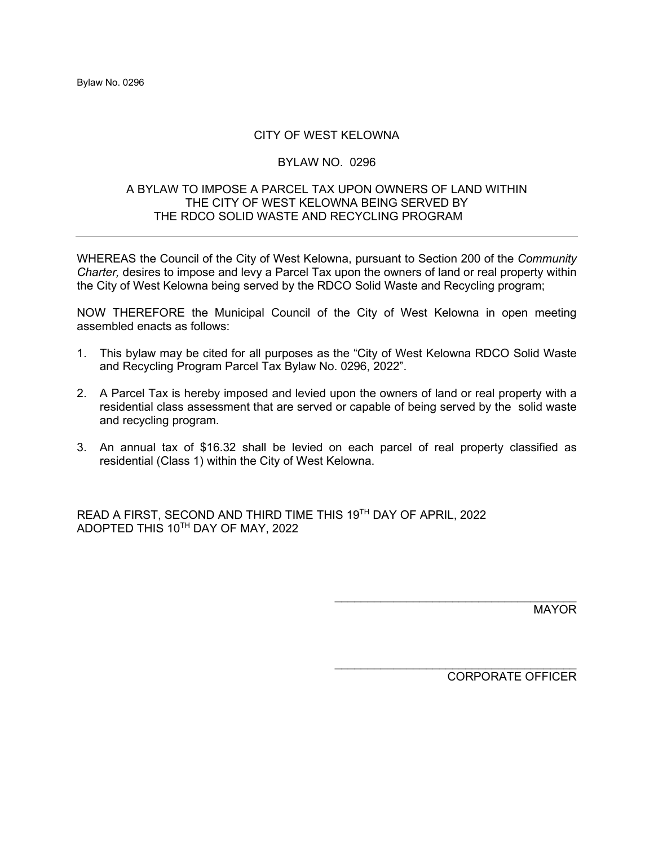# CITY OF WEST KELOWNA

## BYLAW NO. 0296

## A BYLAW TO IMPOSE A PARCEL TAX UPON OWNERS OF LAND WITHIN THE CITY OF WEST KELOWNA BEING SERVED BY THE RDCO SOLID WASTE AND RECYCLING PROGRAM

WHEREAS the Council of the City of West Kelowna, pursuant to Section 200 of the *Community Charter,* desires to impose and levy a Parcel Tax upon the owners of land or real property within the City of West Kelowna being served by the RDCO Solid Waste and Recycling program;

NOW THEREFORE the Municipal Council of the City of West Kelowna in open meeting assembled enacts as follows:

- 1. This bylaw may be cited for all purposes as the "City of West Kelowna RDCO Solid Waste and Recycling Program Parcel Tax Bylaw No. 0296, 2022".
- 2. A Parcel Tax is hereby imposed and levied upon the owners of land or real property with a residential class assessment that are served or capable of being served by the solid waste and recycling program.
- 3. An annual tax of \$16.32 shall be levied on each parcel of real property classified as residential (Class 1) within the City of West Kelowna.

READ A FIRST, SECOND AND THIRD TIME THIS 19TH DAY OF APRIL, 2022 ADOPTED THIS 10TH DAY OF MAY, 2022

MAYOR

\_\_\_\_\_\_\_\_\_\_\_\_\_\_\_\_\_\_\_\_\_\_\_\_\_\_\_\_\_\_\_\_\_\_\_\_\_ CORPORATE OFFICER

 $\mathcal{L}_\text{max}$  , where  $\mathcal{L}_\text{max}$  and  $\mathcal{L}_\text{max}$  and  $\mathcal{L}_\text{max}$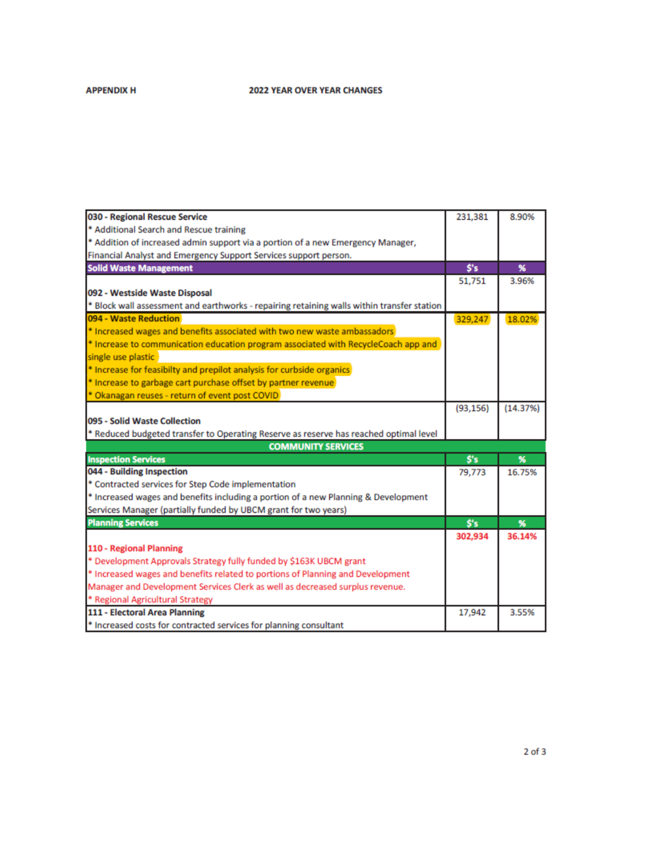## **APPENDIX H**

### **2022 YEAR OVER YEAR CHANGES**

| 030 - Regional Rescue Service                                                              | 231,381                         | 8.90%    |
|--------------------------------------------------------------------------------------------|---------------------------------|----------|
| * Additional Search and Rescue training                                                    |                                 |          |
| * Addition of increased admin support via a portion of a new Emergency Manager,            |                                 |          |
| Financial Analyst and Emergency Support Services support person.                           |                                 |          |
| <b>Solid Waste Management</b>                                                              | \$'s                            | %        |
|                                                                                            | 51,751                          | 3.96%    |
| 092 - Westside Waste Disposal                                                              |                                 |          |
| * Block wall assessment and earthworks - repairing retaining walls within transfer station |                                 |          |
| 094 - Waste Reduction                                                                      | 329,247                         | 18.02%   |
| * Increased wages and benefits associated with two new waste ambassadors                   |                                 |          |
| * Increase to communication education program associated with RecycleCoach app and         |                                 |          |
| single use plastic                                                                         |                                 |          |
| * Increase for feasibilty and prepilot analysis for curbside organics                      |                                 |          |
| * Increase to garbage cart purchase offset by partner revenue                              |                                 |          |
| * Okanagan reuses - return of event post COVID                                             |                                 |          |
|                                                                                            | (93, 156)                       | (14.37%) |
| 095 - Solid Waste Collection                                                               |                                 |          |
| * Reduced budgeted transfer to Operating Reserve as reserve has reached optimal level      |                                 |          |
| <b>COMMUNITY SERVICES</b>                                                                  |                                 |          |
| <b>Inspection Services</b>                                                                 | $\mathsf{S}^{\prime}\mathsf{s}$ | %        |
| 044 - Building Inspection                                                                  | 79,773                          | 16.75%   |
| * Contracted services for Step Code implementation                                         |                                 |          |
| * Increased wages and benefits including a portion of a new Planning & Development         |                                 |          |
| Services Manager (partially funded by UBCM grant for two years)                            |                                 |          |
| <b>Planning Services</b>                                                                   | S's                             | %        |
|                                                                                            | 302.934                         | 36.14%   |
| 110 - Regional Planning                                                                    |                                 |          |
| * Development Approvals Strategy fully funded by \$163K UBCM grant                         |                                 |          |
| * Increased wages and benefits related to portions of Planning and Development             |                                 |          |
| Manager and Development Services Clerk as well as decreased surplus revenue.               |                                 |          |
| * Regional Agricultural Strategy                                                           |                                 |          |
| 111 - Electoral Area Planning                                                              | 17,942                          | 3.55%    |
| * Increased costs for contracted services for planning consultant                          |                                 |          |